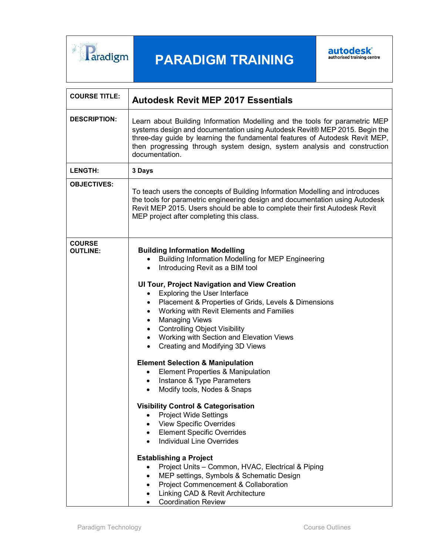

# PARADIGM TRAINING



| <b>COURSE TITLE:</b>             | <b>Autodesk Revit MEP 2017 Essentials</b>                                                                                                                                                                                                                                                                                                                                                                                                                                                                                                                                                                                                                                                                                                                                                                                                                                                                                                                                                                                                                                                                                                                                                                                                                                                |
|----------------------------------|------------------------------------------------------------------------------------------------------------------------------------------------------------------------------------------------------------------------------------------------------------------------------------------------------------------------------------------------------------------------------------------------------------------------------------------------------------------------------------------------------------------------------------------------------------------------------------------------------------------------------------------------------------------------------------------------------------------------------------------------------------------------------------------------------------------------------------------------------------------------------------------------------------------------------------------------------------------------------------------------------------------------------------------------------------------------------------------------------------------------------------------------------------------------------------------------------------------------------------------------------------------------------------------|
| <b>DESCRIPTION:</b>              | Learn about Building Information Modelling and the tools for parametric MEP<br>systems design and documentation using Autodesk Revit® MEP 2015. Begin the<br>three-day guide by learning the fundamental features of Autodesk Revit MEP,<br>then progressing through system design, system analysis and construction<br>documentation.                                                                                                                                                                                                                                                                                                                                                                                                                                                                                                                                                                                                                                                                                                                                                                                                                                                                                                                                                   |
| <b>LENGTH:</b>                   | 3 Days                                                                                                                                                                                                                                                                                                                                                                                                                                                                                                                                                                                                                                                                                                                                                                                                                                                                                                                                                                                                                                                                                                                                                                                                                                                                                   |
| <b>OBJECTIVES:</b>               | To teach users the concepts of Building Information Modelling and introduces<br>the tools for parametric engineering design and documentation using Autodesk<br>Revit MEP 2015. Users should be able to complete their first Autodesk Revit<br>MEP project after completing this class.                                                                                                                                                                                                                                                                                                                                                                                                                                                                                                                                                                                                                                                                                                                                                                                                                                                                                                                                                                                                  |
| <b>COURSE</b><br><b>OUTLINE:</b> | <b>Building Information Modelling</b><br><b>Building Information Modelling for MEP Engineering</b><br>Introducing Revit as a BIM tool<br>$\bullet$<br><b>UI Tour, Project Navigation and View Creation</b><br><b>Exploring the User Interface</b><br>$\bullet$<br>Placement & Properties of Grids, Levels & Dimensions<br>Working with Revit Elements and Families<br>$\bullet$<br><b>Managing Views</b><br>$\bullet$<br><b>Controlling Object Visibility</b><br>$\bullet$<br>Working with Section and Elevation Views<br>$\bullet$<br>Creating and Modifying 3D Views<br>$\bullet$<br><b>Element Selection &amp; Manipulation</b><br>Element Properties & Manipulation<br>Instance & Type Parameters<br>$\bullet$<br>Modify tools, Nodes & Snaps<br>$\bullet$<br><b>Visibility Control &amp; Categorisation</b><br><b>Project Wide Settings</b><br>$\bullet$<br><b>View Specific Overrides</b><br>$\bullet$<br><b>Element Specific Overrides</b><br>$\bullet$<br><b>Individual Line Overrides</b><br>$\bullet$<br><b>Establishing a Project</b><br>Project Units - Common, HVAC, Electrical & Piping<br>$\bullet$<br>MEP settings, Symbols & Schematic Design<br>٠<br><b>Project Commencement &amp; Collaboration</b><br>Linking CAD & Revit Architecture<br><b>Coordination Review</b> |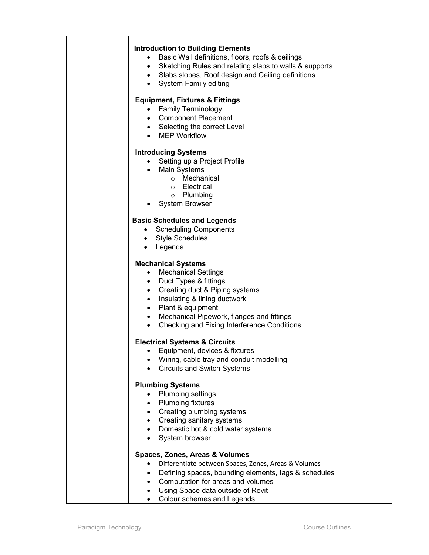## Introduction to Building Elements

- Basic Wall definitions, floors, roofs & ceilings
- Sketching Rules and relating slabs to walls & supports
- Slabs slopes, Roof design and Ceiling definitions
- System Family editing

# Equipment, Fixtures & Fittings

- Family Terminology
- Component Placement
- Selecting the correct Level
- MEP Workflow

## Introducing Systems

- Setting up a Project Profile
- Main Systems
	- o Mechanical
		- o Electrical
		- o Plumbing
- System Browser

## Basic Schedules and Legends

- Scheduling Components
- Style Schedules
- Legends

## Mechanical Systems

- Mechanical Settings
- Duct Types & fittings
- Creating duct & Piping systems
- Insulating & lining ductwork
- Plant & equipment
- Mechanical Pipework, flanges and fittings
- Checking and Fixing Interference Conditions

#### Electrical Systems & Circuits

- Equipment, devices & fixtures
- Wiring, cable tray and conduit modelling
- Circuits and Switch Systems

## Plumbing Systems

- Plumbing settings
- Plumbing fixtures
- Creating plumbing systems
- Creating sanitary systems
- Domestic hot & cold water systems
- System browser

#### Spaces, Zones, Areas & Volumes

- Differentiate between Spaces, Zones, Areas & Volumes
- Defining spaces, bounding elements, tags & schedules
- Computation for areas and volumes
- Using Space data outside of Revit
- Colour schemes and Legends